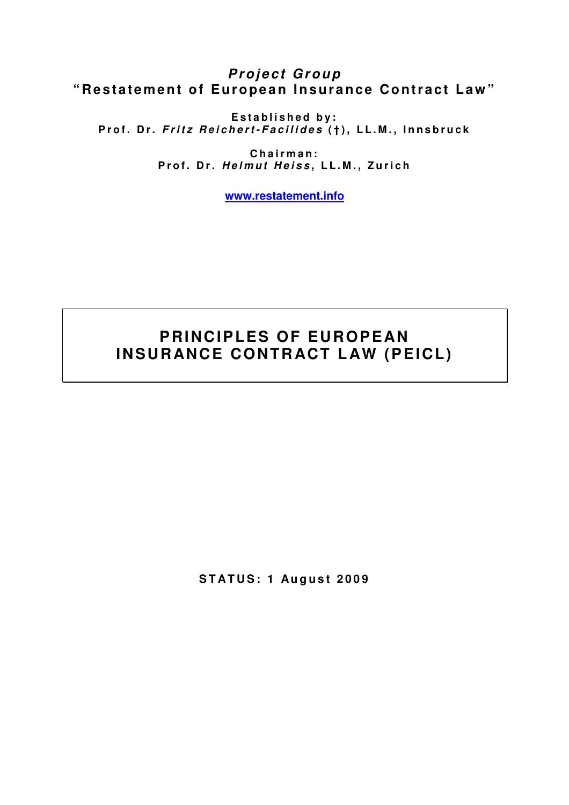# **Project Group** "Restatement of European Insurance Contract Law"

**E s t a b l i s h e d b y :**  Prof. Dr. *Fritz Reichert-Facilides* (†), LL.M., Innsbruck

> **C h a i r m a n :**  Prof. Dr. *Helmut Heiss*, LL.M., Zurich

> > **www.restatement.info**

# **PRINCIPLES OF EUROPEAN INSURANCE CONTRACT LAW (PEICL)**

**STATUS: 1 August 2009**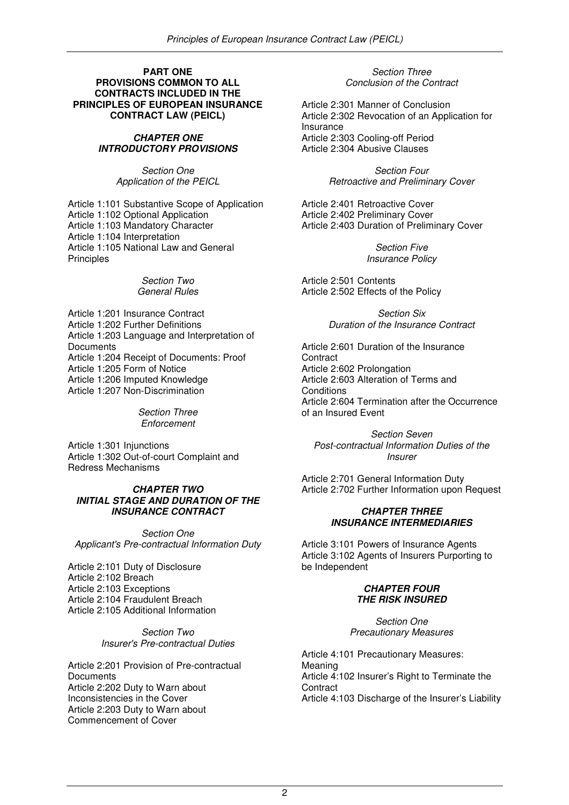#### **PART ONE PROVISIONS COMMON TO ALL CONTRACTS INCLUDED IN THE PRINCIPLES OF EUROPEAN INSURANCE CONTRACT LAW (PEICL)**

#### **CHAPTER ONE INTRODUCTORY PROVISIONS**

Section One Application of the PEICL

Article 1:101 Substantive Scope of Application Article 1:102 Optional Application Article 1:103 Mandatory Character Article 1:104 Interpretation Article 1:105 National Law and General Principles

#### Section Two General Rules

Article 1:201 Insurance Contract Article 1:202 Further Definitions Article 1:203 Language and Interpretation of **Documents** Article 1:204 Receipt of Documents: Proof Article 1:205 Form of Notice Article 1:206 Imputed Knowledge Article 1:207 Non-Discrimination

> Section Three **Enforcement**

Article 1:301 Injunctions Article 1:302 Out-of-court Complaint and Redress Mechanisms

## **CHAPTER TWO INITIAL STAGE AND DURATION OF THE INSURANCE CONTRACT**

Section One Applicant's Pre-contractual Information Duty

Article 2:101 Duty of Disclosure Article 2:102 Breach Article 2:103 Exceptions Article 2:104 Fraudulent Breach Article 2:105 Additional Information

> Section Two Insurer's Pre-contractual Duties

Article 2:201 Provision of Pre-contractual **Documents** Article 2:202 Duty to Warn about Inconsistencies in the Cover Article 2:203 Duty to Warn about Commencement of Cover

Section Three Conclusion of the Contract

Article 2:301 Manner of Conclusion Article 2:302 Revocation of an Application for Insurance Article 2:303 Cooling-off Period Article 2:304 Abusive Clauses

> Section Four Retroactive and Preliminary Cover

Article 2:401 Retroactive Cover Article 2:402 Preliminary Cover Article 2:403 Duration of Preliminary Cover

> Section Five Insurance Policy

Article 2:501 Contents Article 2:502 Effects of the Policy

> Section Six Duration of the Insurance Contract

Article 2:601 Duration of the Insurance **Contract** Article 2:602 Prolongation Article 2:603 Alteration of Terms and **Conditions** Article 2:604 Termination after the Occurrence of an Insured Event

Section Seven Post-contractual Information Duties of the Insurer

Article 2:701 General Information Duty Article 2:702 Further Information upon Request

## **CHAPTER THREE INSURANCE INTERMEDIARIES**

Article 3:101 Powers of Insurance Agents Article 3:102 Agents of Insurers Purporting to be Independent

## **CHAPTER FOUR THE RISK INSURED**

Section One Precautionary Measures

Article 4:101 Precautionary Measures: Meaning Article 4:102 Insurer's Right to Terminate the **Contract** Article 4:103 Discharge of the Insurer's Liability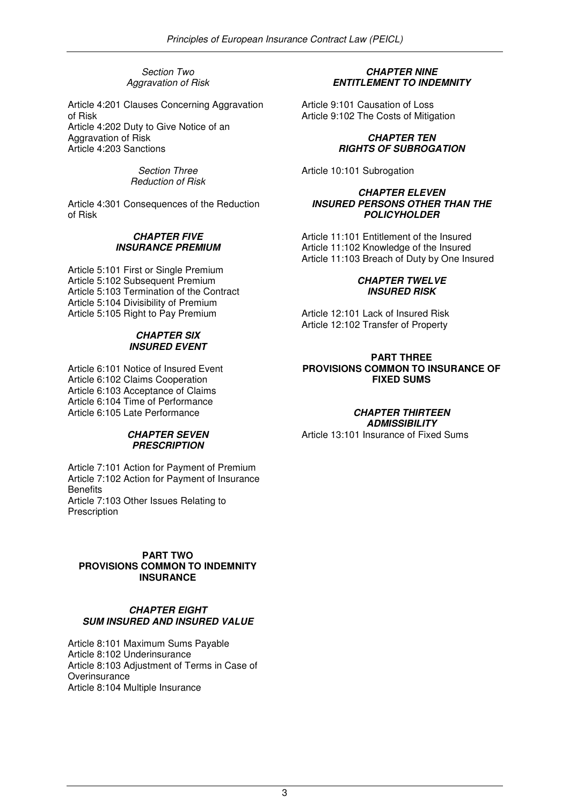Section Two Aggravation of Risk

Article 4:201 Clauses Concerning Aggravation of Risk Article 4:202 Duty to Give Notice of an Aggravation of Risk Article 4:203 Sanctions

> Section Three Reduction of Risk

Article 4:301 Consequences of the Reduction of Risk

## **CHAPTER FIVE INSURANCE PREMIUM**

Article 5:101 First or Single Premium Article 5:102 Subsequent Premium Article 5:103 Termination of the Contract Article 5:104 Divisibility of Premium Article 5:105 Right to Pay Premium

## **CHAPTER SIX INSURED EVENT**

Article 6:101 Notice of Insured Event Article 6:102 Claims Cooperation Article 6:103 Acceptance of Claims Article 6:104 Time of Performance Article 6:105 Late Performance

## **CHAPTER SEVEN PRESCRIPTION**

Article 7:101 Action for Payment of Premium Article 7:102 Action for Payment of Insurance **Benefits** Article 7:103 Other Issues Relating to **Prescription** 

## **PART TWO PROVISIONS COMMON TO INDEMNITY INSURANCE**

## **CHAPTER EIGHT SUM INSURED AND INSURED VALUE**

Article 8:101 Maximum Sums Payable Article 8:102 Underinsurance Article 8:103 Adjustment of Terms in Case of **Overinsurance** Article 8:104 Multiple Insurance

## **CHAPTER NINE ENTITLEMENT TO INDEMNITY**

Article 9:101 Causation of Loss Article 9:102 The Costs of Mitigation

## **CHAPTER TEN RIGHTS OF SUBROGATION**

Article 10:101 Subrogation

#### **CHAPTER ELEVEN INSURED PERSONS OTHER THAN THE POLICYHOLDER**

Article 11:101 Entitlement of the Insured Article 11:102 Knowledge of the Insured Article 11:103 Breach of Duty by One Insured

## **CHAPTER TWELVE INSURED RISK**

Article 12:101 Lack of Insured Risk Article 12:102 Transfer of Property

## **PART THREE PROVISIONS COMMON TO INSURANCE OF FIXED SUMS**

## **CHAPTER THIRTEEN ADMISSIBILITY**

Article 13:101 Insurance of Fixed Sums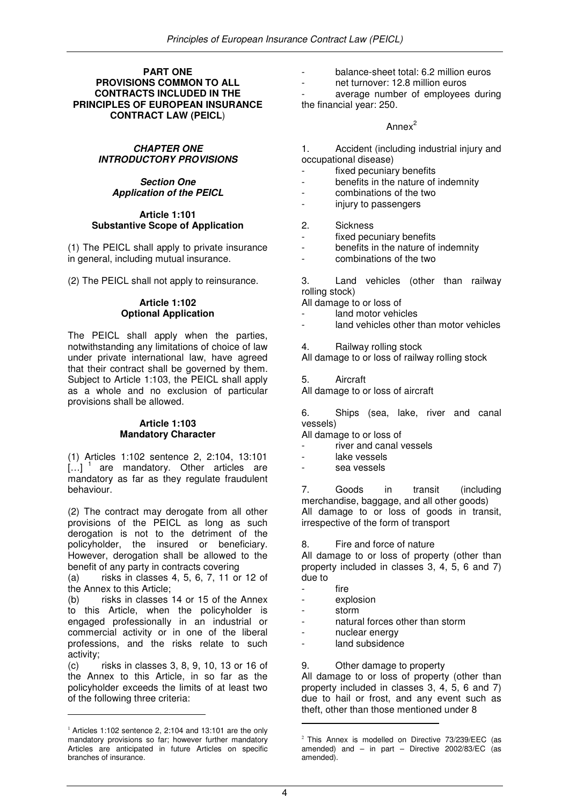#### **PART ONE PROVISIONS COMMON TO ALL CONTRACTS INCLUDED IN THE PRINCIPLES OF EUROPEAN INSURANCE CONTRACT LAW (PEICL**)

## **CHAPTER ONE INTRODUCTORY PROVISIONS**

## **Section One Application of the PEICL**

#### **Article 1:101 Substantive Scope of Application**

(1) The PEICL shall apply to private insurance in general, including mutual insurance.

(2) The PEICL shall not apply to reinsurance.

## **Article 1:102 Optional Application**

The PEICL shall apply when the parties, notwithstanding any limitations of choice of law under private international law, have agreed that their contract shall be governed by them. Subject to Article 1:103, the PEICL shall apply as a whole and no exclusion of particular provisions shall be allowed.

## **Article 1:103 Mandatory Character**

(1) Articles 1:102 sentence 2, 2:104, 13:101  $\left[\ldots\right]$ <sup>1</sup> are mandatory. Other articles are mandatory as far as they regulate fraudulent behaviour.

(2) The contract may derogate from all other provisions of the PEICL as long as such derogation is not to the detriment of the policyholder, the insured or beneficiary. However, derogation shall be allowed to the benefit of any party in contracts covering

(a) risks in classes 4, 5, 6, 7, 11 or 12 of the Annex to this Article;

(b) risks in classes 14 or 15 of the Annex to this Article, when the policyholder is engaged professionally in an industrial or commercial activity or in one of the liberal professions, and the risks relate to such activity;

(c) risks in classes 3, 8, 9, 10, 13 or 16 of the Annex to this Article, in so far as the policyholder exceeds the limits of at least two of the following three criteria:

l.

- balance-sheet total: 6.2 million euros
- net turnover: 12.8 million euros

average number of employees during the financial year: 250.

## Annex<sup>2</sup>

- 1. Accident (including industrial injury and occupational disease)
- fixed pecuniary benefits
- benefits in the nature of indemnity
- combinations of the two
- injury to passengers

## 2. Sickness

- fixed pecuniary benefits
- benefits in the nature of indemnity
- combinations of the two

3. Land vehicles (other than railway rolling stock)

All damage to or loss of

- land motor vehicles
- land vehicles other than motor vehicles
- 4. Railway rolling stock

All damage to or loss of railway rolling stock

5. Aircraft

All damage to or loss of aircraft

6. Ships (sea, lake, river and canal vessels)

All damage to or loss of

- river and canal vessels
- lake vessels
- sea vessels

7. Goods in transit (including merchandise, baggage, and all other goods) All damage to or loss of goods in transit, irrespective of the form of transport

8. Fire and force of nature

All damage to or loss of property (other than property included in classes 3, 4, 5, 6 and 7) due to

- fire
- explosion
- storm
- natural forces other than storm
- nuclear energy
- land subsidence

## 9. Other damage to property

All damage to or loss of property (other than property included in classes 3, 4, 5, 6 and 7) due to hail or frost, and any event such as theft, other than those mentioned under 8 l.

 $1$  Articles 1:102 sentence 2, 2:104 and 13:101 are the only mandatory provisions so far; however further mandatory Articles are anticipated in future Articles on specific branches of insurance.

<sup>&</sup>lt;sup>2</sup> This Annex is modelled on Directive 73/239/EEC (as amended) and  $-$  in part  $-$  Directive 2002/83/EC (as amended).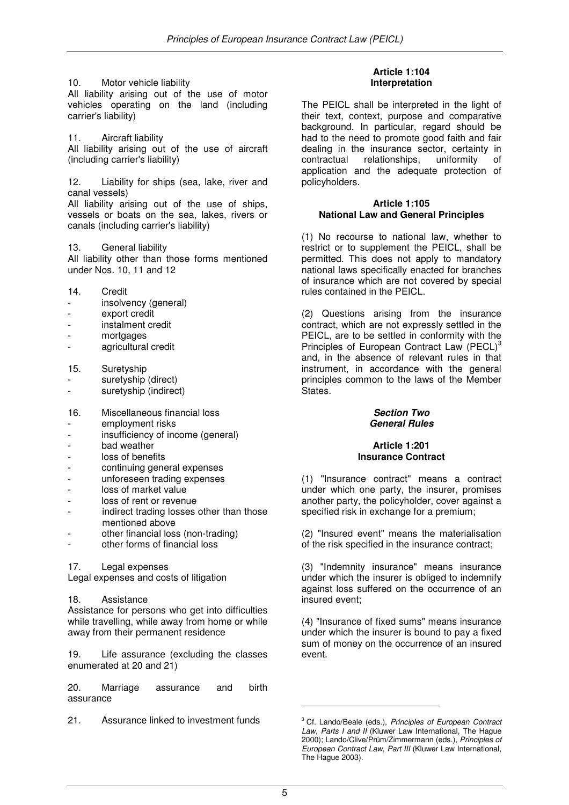10. Motor vehicle liability

All liability arising out of the use of motor vehicles operating on the land (including carrier's liability)

11. Aircraft liability All liability arising out of the use of aircraft (including carrier's liability)

12. Liability for ships (sea, lake, river and canal vessels)

All liability arising out of the use of ships, vessels or boats on the sea, lakes, rivers or canals (including carrier's liability)

13. General liability

All liability other than those forms mentioned under Nos. 10, 11 and 12

- 14. Credit
- insolvency (general)
- export credit
- instalment credit
- mortgages
- agricultural credit
- 15. Suretyship
- suretyship (direct)
- suretyship (indirect)
- 16. Miscellaneous financial loss
- employment risks
- insufficiency of income (general)
- bad weather
- loss of benefits
- continuing general expenses
- unforeseen trading expenses
- loss of market value
- loss of rent or revenue
- indirect trading losses other than those mentioned above
- other financial loss (non-trading)
- other forms of financial loss

#### 17. Legal expenses

Legal expenses and costs of litigation

## 18. Assistance

Assistance for persons who get into difficulties while travelling, while away from home or while away from their permanent residence

19. Life assurance (excluding the classes enumerated at 20 and 21)

20. Marriage assurance and birth assurance

21. Assurance linked to investment funds

## **Article 1:104 Interpretation**

The PEICL shall be interpreted in the light of their text, context, purpose and comparative background. In particular, regard should be had to the need to promote good faith and fair dealing in the insurance sector, certainty in contractual relationships, uniformity of application and the adequate protection of policyholders.

#### **Article 1:105 National Law and General Principles**

(1) No recourse to national law, whether to restrict or to supplement the PEICL, shall be permitted. This does not apply to mandatory national laws specifically enacted for branches of insurance which are not covered by special rules contained in the PEICL.

(2) Questions arising from the insurance contract, which are not expressly settled in the PEICL, are to be settled in conformity with the Principles of European Contract Law (PECL)<sup>3</sup> and, in the absence of relevant rules in that instrument, in accordance with the general principles common to the laws of the Member States.

## **Section Two General Rules**

## **Article 1:201 Insurance Contract**

(1) "Insurance contract" means a contract under which one party, the insurer, promises another party, the policyholder, cover against a specified risk in exchange for a premium;

(2) "Insured event" means the materialisation of the risk specified in the insurance contract;

(3) "Indemnity insurance" means insurance under which the insurer is obliged to indemnify against loss suffered on the occurrence of an insured event;

(4) "Insurance of fixed sums" means insurance under which the insurer is bound to pay a fixed sum of money on the occurrence of an insured event.

l.

<sup>&</sup>lt;sup>3</sup> Cf. Lando/Beale (eds.), Principles of European Contract Law, Parts I and II (Kluwer Law International, The Hague 2000); Lando/Clive/Prüm/Zimmermann (eds.), Principles of European Contract Law, Part III (Kluwer Law International, The Hague 2003).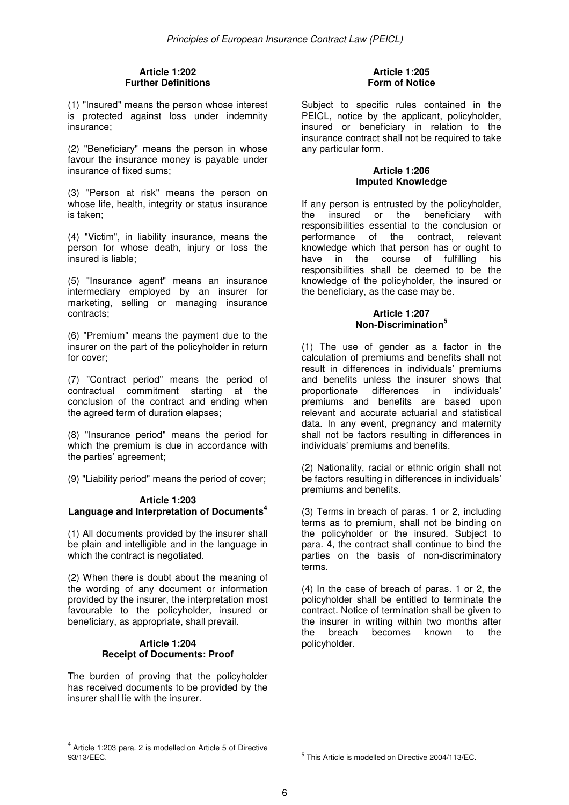## **Article 1:202 Further Definitions**

(1) "Insured" means the person whose interest is protected against loss under indemnity insurance;

(2) "Beneficiary" means the person in whose favour the insurance money is payable under insurance of fixed sums;

(3) "Person at risk" means the person on whose life, health, integrity or status insurance is taken;

(4) "Victim", in liability insurance, means the person for whose death, injury or loss the insured is liable;

(5) "Insurance agent" means an insurance intermediary employed by an insurer for marketing, selling or managing insurance contracts;

(6) "Premium" means the payment due to the insurer on the part of the policyholder in return for cover;

(7) "Contract period" means the period of contractual commitment starting at the conclusion of the contract and ending when the agreed term of duration elapses;

(8) "Insurance period" means the period for which the premium is due in accordance with the parties' agreement;

(9) "Liability period" means the period of cover;

## **Article 1:203 Language and Interpretation of Documents<sup>4</sup>**

(1) All documents provided by the insurer shall be plain and intelligible and in the language in which the contract is negotiated.

(2) When there is doubt about the meaning of the wording of any document or information provided by the insurer, the interpretation most favourable to the policyholder, insured or beneficiary, as appropriate, shall prevail.

## **Article 1:204 Receipt of Documents: Proof**

The burden of proving that the policyholder has received documents to be provided by the insurer shall lie with the insurer.

## **Article 1:205 Form of Notice**

Subject to specific rules contained in the PEICL, notice by the applicant, policyholder, insured or beneficiary in relation to the insurance contract shall not be required to take any particular form.

#### **Article 1:206 Imputed Knowledge**

If any person is entrusted by the policyholder, the insured or the beneficiary with responsibilities essential to the conclusion or performance of the contract, relevant knowledge which that person has or ought to have in the course of fulfilling his responsibilities shall be deemed to be the knowledge of the policyholder, the insured or the beneficiary, as the case may be.

## **Article 1:207 Non-Discrimination<sup>5</sup>**

(1) The use of gender as a factor in the calculation of premiums and benefits shall not result in differences in individuals' premiums and benefits unless the insurer shows that proportionate differences in individuals' premiums and benefits are based upon relevant and accurate actuarial and statistical data. In any event, pregnancy and maternity shall not be factors resulting in differences in individuals' premiums and benefits.

(2) Nationality, racial or ethnic origin shall not be factors resulting in differences in individuals' premiums and benefits.

(3) Terms in breach of paras. 1 or 2, including terms as to premium, shall not be binding on the policyholder or the insured. Subject to para. 4, the contract shall continue to bind the parties on the basis of non-discriminatory terms.

(4) In the case of breach of paras. 1 or 2, the policyholder shall be entitled to terminate the contract. Notice of termination shall be given to the insurer in writing within two months after<br>the breach becomes known to the the breach becomes known to the policyholder.

l.

 $\overline{a}$ 

 $4$  Article 1:203 para. 2 is modelled on Article 5 of Directive 93/13/EEC.

<sup>5</sup> This Article is modelled on Directive 2004/113/EC.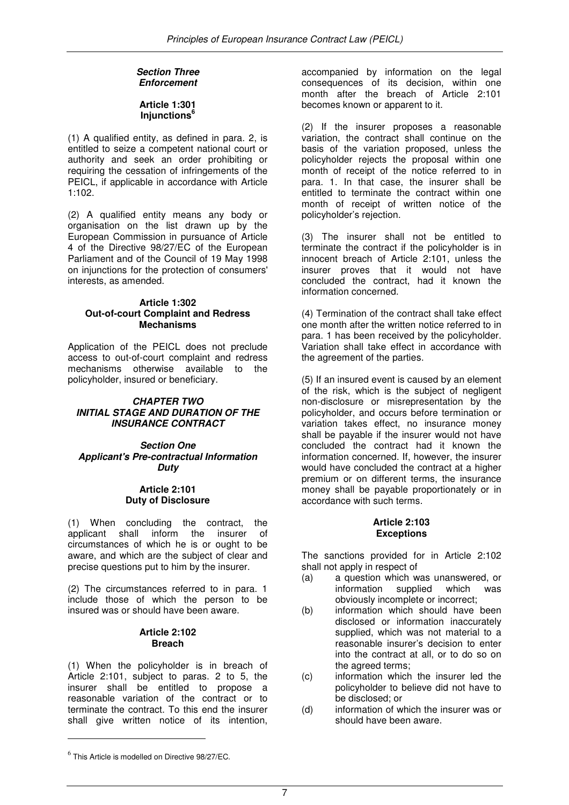## **Section Three Enforcement**

## **Article 1:301 Injunctions<sup>6</sup>**

(1) A qualified entity, as defined in para. 2, is entitled to seize a competent national court or authority and seek an order prohibiting or requiring the cessation of infringements of the PEICL, if applicable in accordance with Article 1:102.

(2) A qualified entity means any body or organisation on the list drawn up by the European Commission in pursuance of Article 4 of the Directive 98/27/EC of the European Parliament and of the Council of 19 May 1998 on injunctions for the protection of consumers' interests, as amended.

## **Article 1:302 Out-of-court Complaint and Redress Mechanisms**

Application of the PEICL does not preclude access to out-of-court complaint and redress mechanisms otherwise available to the policyholder, insured or beneficiary.

## **CHAPTER TWO INITIAL STAGE AND DURATION OF THE INSURANCE CONTRACT**

#### **Section One Applicant's Pre-contractual Information Duty**

#### **Article 2:101 Duty of Disclosure**

(1) When concluding the contract, the applicant shall inform the insurer of circumstances of which he is or ought to be aware, and which are the subject of clear and precise questions put to him by the insurer.

(2) The circumstances referred to in para. 1 include those of which the person to be insured was or should have been aware.

## **Article 2:102 Breach**

(1) When the policyholder is in breach of Article 2:101, subject to paras. 2 to 5, the insurer shall be entitled to propose a reasonable variation of the contract or to terminate the contract. To this end the insurer shall give written notice of its intention,

accompanied by information on the legal consequences of its decision, within one month after the breach of Article 2:101 becomes known or apparent to it.

(2) If the insurer proposes a reasonable variation, the contract shall continue on the basis of the variation proposed, unless the policyholder rejects the proposal within one month of receipt of the notice referred to in para. 1. In that case, the insurer shall be entitled to terminate the contract within one month of receipt of written notice of the policyholder's rejection.

(3) The insurer shall not be entitled to terminate the contract if the policyholder is in innocent breach of Article 2:101, unless the insurer proves that it would not have concluded the contract, had it known the information concerned.

(4) Termination of the contract shall take effect one month after the written notice referred to in para. 1 has been received by the policyholder. Variation shall take effect in accordance with the agreement of the parties.

(5) If an insured event is caused by an element of the risk, which is the subject of negligent non-disclosure or misrepresentation by the policyholder, and occurs before termination or variation takes effect, no insurance money shall be payable if the insurer would not have concluded the contract had it known the information concerned. If, however, the insurer would have concluded the contract at a higher premium or on different terms, the insurance money shall be payable proportionately or in accordance with such terms.

## **Article 2:103 Exceptions**

The sanctions provided for in Article 2:102 shall not apply in respect of

- (a) a question which was unanswered, or information supplied which was obviously incomplete or incorrect;
- (b) information which should have been disclosed or information inaccurately supplied, which was not material to a reasonable insurer's decision to enter into the contract at all, or to do so on the agreed terms;
- (c) information which the insurer led the policyholder to believe did not have to be disclosed; or
- (d) information of which the insurer was or should have been aware.

 $\overline{a}$ 

 $^6$  This Article is modelled on Directive 98/27/EC.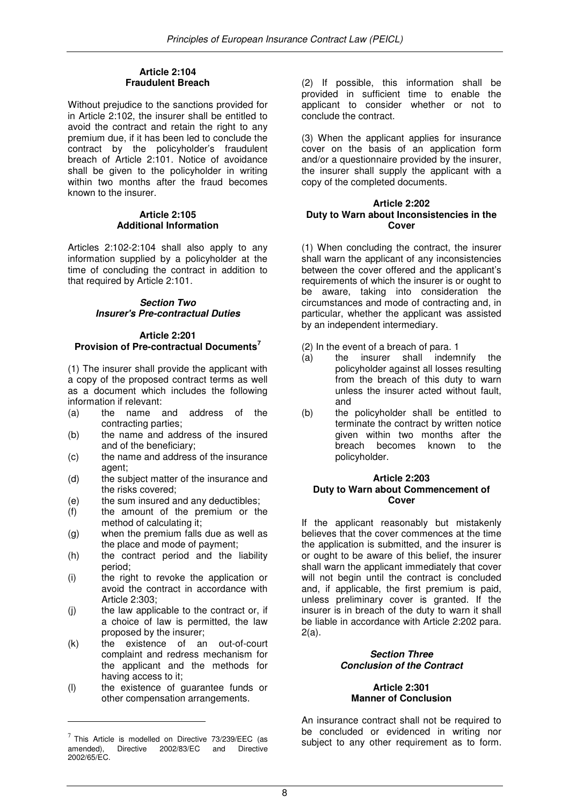## **Article 2:104 Fraudulent Breach**

Without prejudice to the sanctions provided for in Article 2:102, the insurer shall be entitled to avoid the contract and retain the right to any premium due, if it has been led to conclude the contract by the policyholder's fraudulent breach of Article 2:101. Notice of avoidance shall be given to the policyholder in writing within two months after the fraud becomes known to the insurer.

## **Article 2:105 Additional Information**

Articles 2:102-2:104 shall also apply to any information supplied by a policyholder at the time of concluding the contract in addition to that required by Article 2:101.

## **Section Two Insurer's Pre-contractual Duties**

## **Article 2:201 Provision of Pre-contractual Documents<sup>7</sup>**

(1) The insurer shall provide the applicant with a copy of the proposed contract terms as well as a document which includes the following information if relevant:

- (a) the name and address of the contracting parties;
- (b) the name and address of the insured and of the beneficiary;
- (c) the name and address of the insurance agent:
- (d) the subject matter of the insurance and the risks covered;
- (e) the sum insured and any deductibles;
- (f) the amount of the premium or the method of calculating it;
- (g) when the premium falls due as well as the place and mode of payment;
- (h) the contract period and the liability period;
- (i) the right to revoke the application or avoid the contract in accordance with Article 2:303;
- (j) the law applicable to the contract or, if a choice of law is permitted, the law proposed by the insurer;
- (k) the existence of an out-of-court complaint and redress mechanism for the applicant and the methods for having access to it;
- (l) the existence of guarantee funds or other compensation arrangements.

 $\overline{a}$ 

(2) If possible, this information shall be provided in sufficient time to enable the applicant to consider whether or not to conclude the contract.

(3) When the applicant applies for insurance cover on the basis of an application form and/or a questionnaire provided by the insurer, the insurer shall supply the applicant with a copy of the completed documents.

#### **Article 2:202 Duty to Warn about Inconsistencies in the Cover**

(1) When concluding the contract, the insurer shall warn the applicant of any inconsistencies between the cover offered and the applicant's requirements of which the insurer is or ought to be aware, taking into consideration the circumstances and mode of contracting and, in particular, whether the applicant was assisted by an independent intermediary.

- (2) In the event of a breach of para. 1
- (a) the insurer shall indemnify the policyholder against all losses resulting from the breach of this duty to warn unless the insurer acted without fault, and
- (b) the policyholder shall be entitled to terminate the contract by written notice given within two months after the breach becomes known to the policyholder.

#### **Article 2:203 Duty to Warn about Commencement of Cover**

If the applicant reasonably but mistakenly believes that the cover commences at the time the application is submitted, and the insurer is or ought to be aware of this belief, the insurer shall warn the applicant immediately that cover will not begin until the contract is concluded and, if applicable, the first premium is paid, unless preliminary cover is granted. If the insurer is in breach of the duty to warn it shall be liable in accordance with Article 2:202 para. 2(a).

## **Section Three Conclusion of the Contract**

## **Article 2:301 Manner of Conclusion**

An insurance contract shall not be required to be concluded or evidenced in writing nor subject to any other requirement as to form.

 $^7$  This Article is modelled on Directive 73/239/EEC (as amended), Directive 2002/83/EC and Directive 2002/65/EC.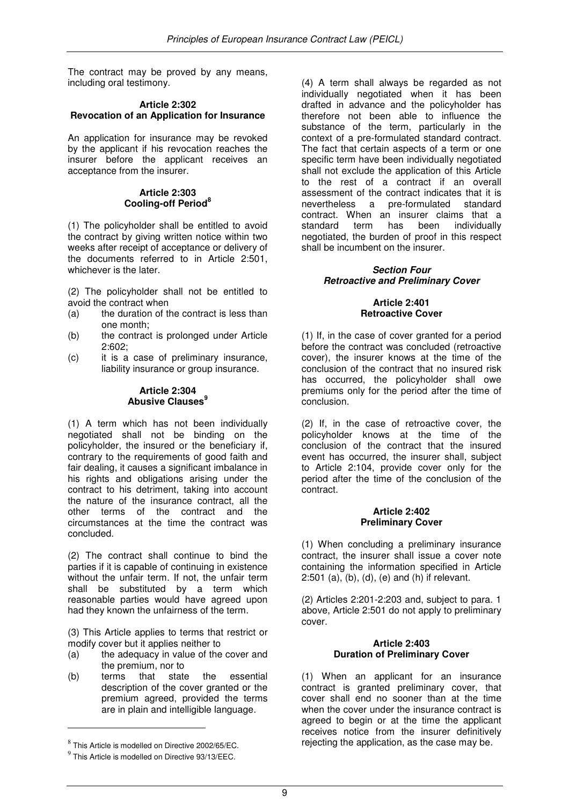The contract may be proved by any means, including oral testimony.

## **Article 2:302 Revocation of an Application for Insurance**

An application for insurance may be revoked by the applicant if his revocation reaches the insurer before the applicant receives an acceptance from the insurer.

## **Article 2:303 Cooling-off Period<sup>8</sup>**

(1) The policyholder shall be entitled to avoid the contract by giving written notice within two weeks after receipt of acceptance or delivery of the documents referred to in Article 2:501, whichever is the later.

(2) The policyholder shall not be entitled to avoid the contract when

- (a) the duration of the contract is less than one month;
- (b) the contract is prolonged under Article 2:602;
- (c) it is a case of preliminary insurance, liability insurance or group insurance.

#### **Article 2:304 Abusive Clauses<sup>9</sup>**

(1) A term which has not been individually negotiated shall not be binding on the policyholder, the insured or the beneficiary if, contrary to the requirements of good faith and fair dealing, it causes a significant imbalance in his rights and obligations arising under the contract to his detriment, taking into account the nature of the insurance contract, all the other terms of the contract and the circumstances at the time the contract was concluded.

(2) The contract shall continue to bind the parties if it is capable of continuing in existence without the unfair term. If not, the unfair term shall be substituted by a term which reasonable parties would have agreed upon had they known the unfairness of the term.

(3) This Article applies to terms that restrict or modify cover but it applies neither to

- (a) the adequacy in value of the cover and the premium, nor to<br>terms that state
- (b) terms that state the essential description of the cover granted or the premium agreed, provided the terms are in plain and intelligible language.

l.

(4) A term shall always be regarded as not individually negotiated when it has been drafted in advance and the policyholder has therefore not been able to influence the substance of the term, particularly in the context of a pre-formulated standard contract. The fact that certain aspects of a term or one specific term have been individually negotiated shall not exclude the application of this Article to the rest of a contract if an overall assessment of the contract indicates that it is nevertheless a pre-formulated standard contract. When an insurer claims that a standard term has been individually negotiated, the burden of proof in this respect shall be incumbent on the insurer.

## **Section Four Retroactive and Preliminary Cover**

## **Article 2:401 Retroactive Cover**

(1) If, in the case of cover granted for a period before the contract was concluded (retroactive cover), the insurer knows at the time of the conclusion of the contract that no insured risk has occurred, the policyholder shall owe premiums only for the period after the time of conclusion.

(2) If, in the case of retroactive cover, the policyholder knows at the time of the conclusion of the contract that the insured event has occurred, the insurer shall, subject to Article 2:104, provide cover only for the period after the time of the conclusion of the contract.

## **Article 2:402 Preliminary Cover**

(1) When concluding a preliminary insurance contract, the insurer shall issue a cover note containing the information specified in Article 2:501 (a), (b), (d), (e) and (h) if relevant.

(2) Articles 2:201-2:203 and, subject to para. 1 above, Article 2:501 do not apply to preliminary cover.

## **Article 2:403 Duration of Preliminary Cover**

(1) When an applicant for an insurance contract is granted preliminary cover, that cover shall end no sooner than at the time when the cover under the insurance contract is agreed to begin or at the time the applicant receives notice from the insurer definitively rejecting the application, as the case may be.

 $^8$  This Article is modelled on Directive 2002/65/EC.

<sup>9</sup> This Article is modelled on Directive 93/13/EEC.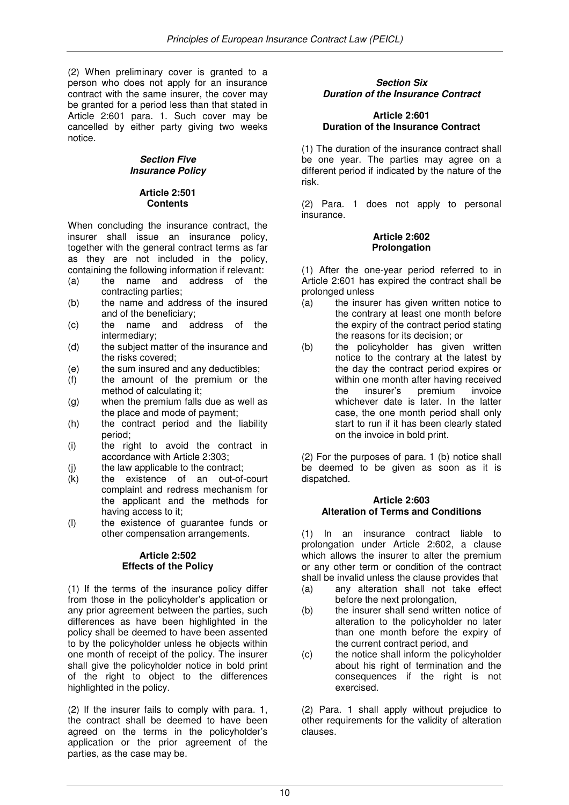(2) When preliminary cover is granted to a person who does not apply for an insurance contract with the same insurer, the cover may be granted for a period less than that stated in Article 2:601 para. 1. Such cover may be cancelled by either party giving two weeks notice.

## **Section Five Insurance Policy**

## **Article 2:501 Contents**

When concluding the insurance contract, the insurer shall issue an insurance policy, together with the general contract terms as far as they are not included in the policy, containing the following information if relevant:<br>(a) the name and address of the

- (a) the name and address of the contracting parties;
- (b) the name and address of the insured and of the beneficiary;
- (c) the name and address of the intermediary;
- (d) the subject matter of the insurance and the risks covered;
- (e) the sum insured and any deductibles;
- (f) the amount of the premium or the method of calculating it;
- (g) when the premium falls due as well as the place and mode of payment;
- (h) the contract period and the liability period;
- (i) the right to avoid the contract in accordance with Article 2:303;
- (j) the law applicable to the contract;
- (k) the existence of an out-of-court complaint and redress mechanism for the applicant and the methods for having access to it;
- (l) the existence of guarantee funds or other compensation arrangements.

## **Article 2:502 Effects of the Policy**

(1) If the terms of the insurance policy differ from those in the policyholder's application or any prior agreement between the parties, such differences as have been highlighted in the policy shall be deemed to have been assented to by the policyholder unless he objects within one month of receipt of the policy. The insurer shall give the policyholder notice in bold print of the right to object to the differences highlighted in the policy.

(2) If the insurer fails to comply with para. 1, the contract shall be deemed to have been agreed on the terms in the policyholder's application or the prior agreement of the parties, as the case may be.

## **Section Six Duration of the Insurance Contract**

## **Article 2:601 Duration of the Insurance Contract**

(1) The duration of the insurance contract shall be one year. The parties may agree on a different period if indicated by the nature of the risk.

(2) Para. 1 does not apply to personal insurance.

## **Article 2:602 Prolongation**

(1) After the one-year period referred to in Article 2:601 has expired the contract shall be prolonged unless

- (a) the insurer has given written notice to the contrary at least one month before the expiry of the contract period stating the reasons for its decision; or
- (b) the policyholder has given written notice to the contrary at the latest by the day the contract period expires or within one month after having received the insurer's premium invoice whichever date is later. In the latter case, the one month period shall only start to run if it has been clearly stated on the invoice in bold print.

(2) For the purposes of para. 1 (b) notice shall be deemed to be given as soon as it is dispatched.

## **Article 2:603 Alteration of Terms and Conditions**

(1) In an insurance contract liable to prolongation under Article 2:602, a clause which allows the insurer to alter the premium or any other term or condition of the contract shall be invalid unless the clause provides that

- (a) any alteration shall not take effect before the next prolongation,
- (b) the insurer shall send written notice of alteration to the policyholder no later than one month before the expiry of the current contract period, and
- (c) the notice shall inform the policyholder about his right of termination and the consequences if the right is not exercised.

(2) Para. 1 shall apply without prejudice to other requirements for the validity of alteration clauses.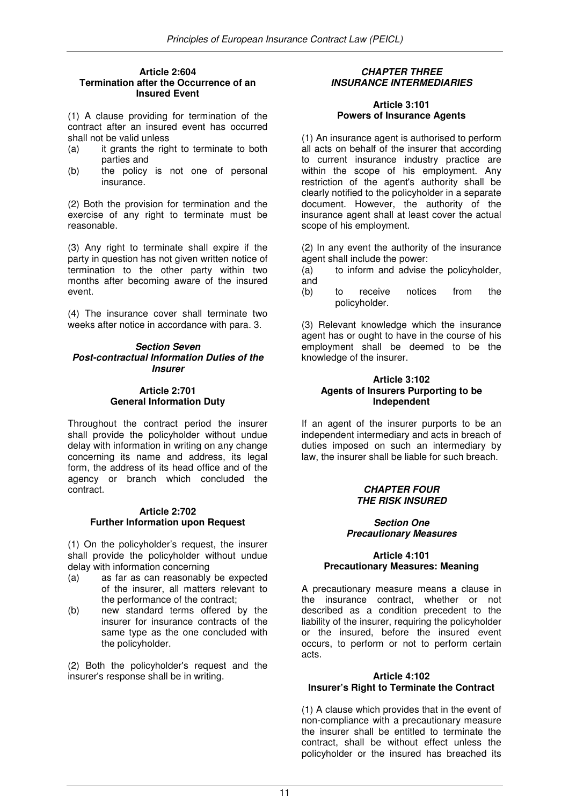#### **Article 2:604 Termination after the Occurrence of an Insured Event**

(1) A clause providing for termination of the contract after an insured event has occurred shall not be valid unless

- (a) it grants the right to terminate to both parties and
- (b) the policy is not one of personal insurance.

(2) Both the provision for termination and the exercise of any right to terminate must be reasonable.

(3) Any right to terminate shall expire if the party in question has not given written notice of termination to the other party within two months after becoming aware of the insured event.

(4) The insurance cover shall terminate two weeks after notice in accordance with para. 3.

#### **Section Seven Post-contractual Information Duties of the Insurer**

#### **Article 2:701 General Information Duty**

Throughout the contract period the insurer shall provide the policyholder without undue delay with information in writing on any change concerning its name and address, its legal form, the address of its head office and of the agency or branch which concluded the contract.

## **Article 2:702 Further Information upon Request**

(1) On the policyholder's request, the insurer shall provide the policyholder without undue delay with information concerning

- (a) as far as can reasonably be expected of the insurer, all matters relevant to the performance of the contract;
- (b) new standard terms offered by the insurer for insurance contracts of the same type as the one concluded with the policyholder.

(2) Both the policyholder's request and the insurer's response shall be in writing.

## **CHAPTER THREE INSURANCE INTERMEDIARIES**

## **Article 3:101 Powers of Insurance Agents**

(1) An insurance agent is authorised to perform all acts on behalf of the insurer that according to current insurance industry practice are within the scope of his employment. Any restriction of the agent's authority shall be clearly notified to the policyholder in a separate document. However, the authority of the insurance agent shall at least cover the actual scope of his employment.

(2) In any event the authority of the insurance agent shall include the power:

- (a) to inform and advise the policyholder, and
- (b) to receive notices from the policyholder.

(3) Relevant knowledge which the insurance agent has or ought to have in the course of his employment shall be deemed to be the knowledge of the insurer.

## **Article 3:102 Agents of Insurers Purporting to be Independent**

If an agent of the insurer purports to be an independent intermediary and acts in breach of duties imposed on such an intermediary by law, the insurer shall be liable for such breach.

## **CHAPTER FOUR THE RISK INSURED**

## **Section One Precautionary Measures**

## **Article 4:101 Precautionary Measures: Meaning**

A precautionary measure means a clause in the insurance contract, whether or not described as a condition precedent to the liability of the insurer, requiring the policyholder or the insured, before the insured event occurs, to perform or not to perform certain acts.

## **Article 4:102 Insurer's Right to Terminate the Contract**

(1) A clause which provides that in the event of non-compliance with a precautionary measure the insurer shall be entitled to terminate the contract, shall be without effect unless the policyholder or the insured has breached its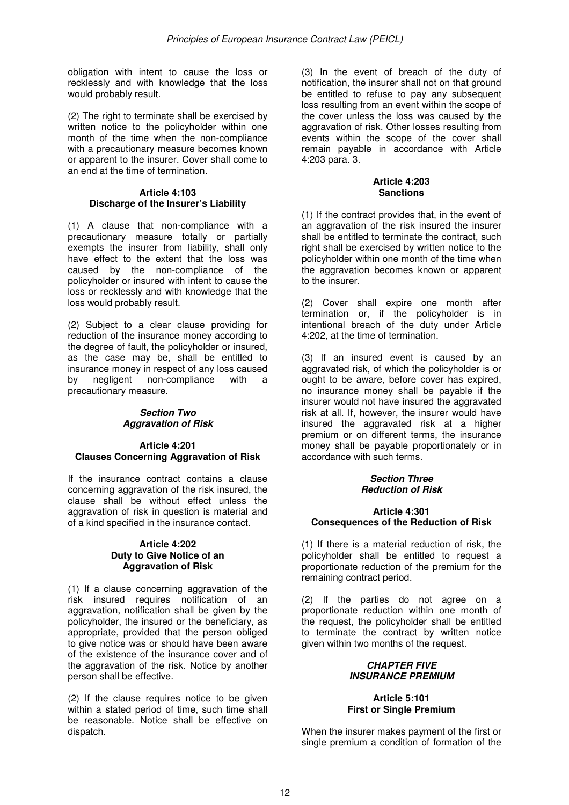obligation with intent to cause the loss or recklessly and with knowledge that the loss would probably result.

(2) The right to terminate shall be exercised by written notice to the policyholder within one month of the time when the non-compliance with a precautionary measure becomes known or apparent to the insurer. Cover shall come to an end at the time of termination.

## **Article 4:103 Discharge of the Insurer's Liability**

(1) A clause that non-compliance with a precautionary measure totally or partially exempts the insurer from liability, shall only have effect to the extent that the loss was caused by the non-compliance of the policyholder or insured with intent to cause the loss or recklessly and with knowledge that the loss would probably result.

(2) Subject to a clear clause providing for reduction of the insurance money according to the degree of fault, the policyholder or insured, as the case may be, shall be entitled to insurance money in respect of any loss caused<br>by negligent non-compliance with a negligent non-compliance with a precautionary measure.

## **Section Two Aggravation of Risk**

## **Article 4:201 Clauses Concerning Aggravation of Risk**

If the insurance contract contains a clause concerning aggravation of the risk insured, the clause shall be without effect unless the aggravation of risk in question is material and of a kind specified in the insurance contact.

## **Article 4:202 Duty to Give Notice of an Aggravation of Risk**

(1) If a clause concerning aggravation of the risk insured requires notification of an aggravation, notification shall be given by the policyholder, the insured or the beneficiary, as appropriate, provided that the person obliged to give notice was or should have been aware of the existence of the insurance cover and of the aggravation of the risk. Notice by another person shall be effective.

(2) If the clause requires notice to be given within a stated period of time, such time shall be reasonable. Notice shall be effective on dispatch.

(3) In the event of breach of the duty of notification, the insurer shall not on that ground be entitled to refuse to pay any subsequent loss resulting from an event within the scope of the cover unless the loss was caused by the aggravation of risk. Other losses resulting from events within the scope of the cover shall remain payable in accordance with Article 4:203 para. 3.

## **Article 4:203 Sanctions**

(1) If the contract provides that, in the event of an aggravation of the risk insured the insurer shall be entitled to terminate the contract, such right shall be exercised by written notice to the policyholder within one month of the time when the aggravation becomes known or apparent to the insurer.

(2) Cover shall expire one month after termination or, if the policyholder is in intentional breach of the duty under Article 4:202, at the time of termination.

(3) If an insured event is caused by an aggravated risk, of which the policyholder is or ought to be aware, before cover has expired, no insurance money shall be payable if the insurer would not have insured the aggravated risk at all. If, however, the insurer would have insured the aggravated risk at a higher premium or on different terms, the insurance money shall be payable proportionately or in accordance with such terms.

## **Section Three Reduction of Risk**

## **Article 4:301 Consequences of the Reduction of Risk**

(1) If there is a material reduction of risk, the policyholder shall be entitled to request a proportionate reduction of the premium for the remaining contract period.

(2) If the parties do not agree on a proportionate reduction within one month of the request, the policyholder shall be entitled to terminate the contract by written notice given within two months of the request.

## **CHAPTER FIVE INSURANCE PREMIUM**

## **Article 5:101 First or Single Premium**

When the insurer makes payment of the first or single premium a condition of formation of the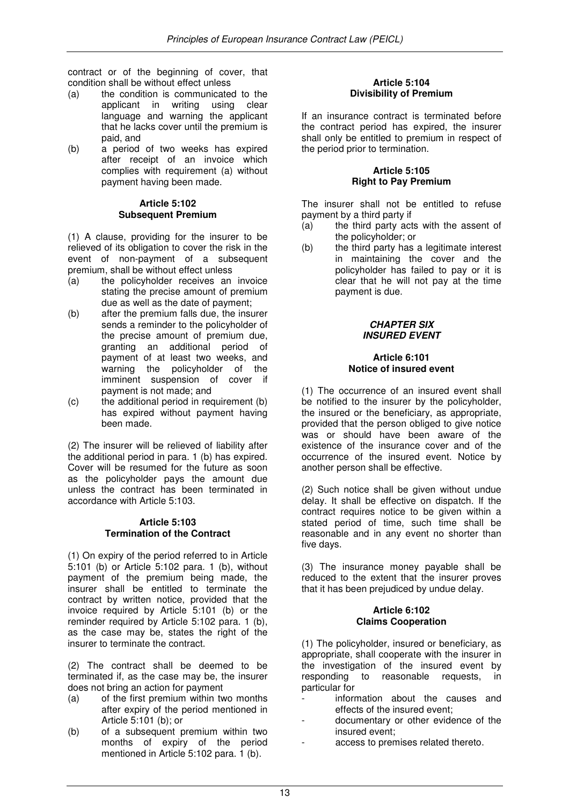contract or of the beginning of cover, that condition shall be without effect unless

- (a) the condition is communicated to the applicant in writing using clear language and warning the applicant that he lacks cover until the premium is paid, and
- (b) a period of two weeks has expired after receipt of an invoice which complies with requirement (a) without payment having been made.

#### **Article 5:102 Subsequent Premium**

(1) A clause, providing for the insurer to be relieved of its obligation to cover the risk in the event of non-payment of a subsequent premium, shall be without effect unless

- (a) the policyholder receives an invoice stating the precise amount of premium due as well as the date of payment;
- (b) after the premium falls due, the insurer sends a reminder to the policyholder of the precise amount of premium due, granting an additional period of payment of at least two weeks, and warning the policyholder of the imminent suspension of cover if payment is not made; and
- (c) the additional period in requirement (b) has expired without payment having been made.

(2) The insurer will be relieved of liability after the additional period in para. 1 (b) has expired. Cover will be resumed for the future as soon as the policyholder pays the amount due unless the contract has been terminated in accordance with Article 5:103.

## **Article 5:103 Termination of the Contract**

(1) On expiry of the period referred to in Article 5:101 (b) or Article 5:102 para. 1 (b), without payment of the premium being made, the insurer shall be entitled to terminate the contract by written notice, provided that the invoice required by Article 5:101 (b) or the reminder required by Article 5:102 para. 1 (b), as the case may be, states the right of the insurer to terminate the contract.

(2) The contract shall be deemed to be terminated if, as the case may be, the insurer does not bring an action for payment

- (a) of the first premium within two months after expiry of the period mentioned in Article 5:101 (b); or
- (b) of a subsequent premium within two months of expiry of the period mentioned in Article 5:102 para. 1 (b).

## **Article 5:104 Divisibility of Premium**

If an insurance contract is terminated before the contract period has expired, the insurer shall only be entitled to premium in respect of the period prior to termination.

#### **Article 5:105 Right to Pay Premium**

The insurer shall not be entitled to refuse payment by a third party if

- (a) the third party acts with the assent of the policyholder; or
- (b) the third party has a legitimate interest in maintaining the cover and the policyholder has failed to pay or it is clear that he will not pay at the time payment is due.

## **CHAPTER SIX INSURED EVENT**

#### **Article 6:101 Notice of insured event**

(1) The occurrence of an insured event shall be notified to the insurer by the policyholder, the insured or the beneficiary, as appropriate, provided that the person obliged to give notice was or should have been aware of the existence of the insurance cover and of the occurrence of the insured event. Notice by another person shall be effective.

(2) Such notice shall be given without undue delay. It shall be effective on dispatch. If the contract requires notice to be given within a stated period of time, such time shall be reasonable and in any event no shorter than five days.

(3) The insurance money payable shall be reduced to the extent that the insurer proves that it has been prejudiced by undue delay.

## **Article 6:102 Claims Cooperation**

(1) The policyholder, insured or beneficiary, as appropriate, shall cooperate with the insurer in the investigation of the insured event by responding to reasonable requests, in particular for

- information about the causes and effects of the insured event;
- documentary or other evidence of the insured event;
- access to premises related thereto.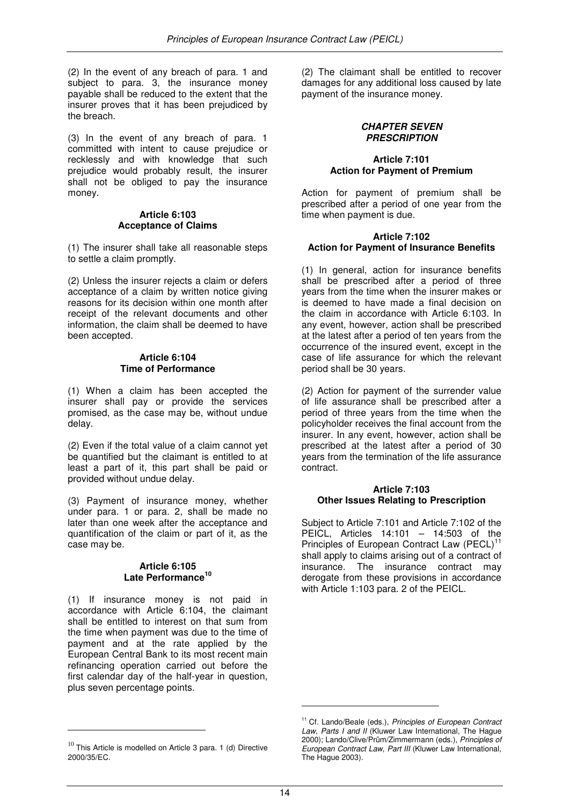(2) In the event of any breach of para. 1 and subject to para. 3, the insurance money payable shall be reduced to the extent that the insurer proves that it has been prejudiced by the breach.

(3) In the event of any breach of para. 1 committed with intent to cause prejudice or recklessly and with knowledge that such prejudice would probably result, the insurer shall not be obliged to pay the insurance money.

#### **Article 6:103 Acceptance of Claims**

(1) The insurer shall take all reasonable steps to settle a claim promptly.

(2) Unless the insurer rejects a claim or defers acceptance of a claim by written notice giving reasons for its decision within one month after receipt of the relevant documents and other information, the claim shall be deemed to have been accepted.

#### **Article 6:104 Time of Performance**

(1) When a claim has been accepted the insurer shall pay or provide the services promised, as the case may be, without undue delay.

(2) Even if the total value of a claim cannot yet be quantified but the claimant is entitled to at least a part of it, this part shall be paid or provided without undue delay.

(3) Payment of insurance money, whether under para. 1 or para. 2, shall be made no later than one week after the acceptance and quantification of the claim or part of it, as the case may be.

#### **Article 6:105 Late Performance<sup>10</sup>**

(1) If insurance money is not paid in accordance with Article 6:104, the claimant shall be entitled to interest on that sum from the time when payment was due to the time of payment and at the rate applied by the European Central Bank to its most recent main refinancing operation carried out before the first calendar day of the half-year in question, plus seven percentage points.

l.

(2) The claimant shall be entitled to recover damages for any additional loss caused by late payment of the insurance money.

## **CHAPTER SEVEN PRESCRIPTION**

## **Article 7:101 Action for Payment of Premium**

Action for payment of premium shall be prescribed after a period of one year from the time when payment is due.

#### **Article 7:102 Action for Payment of Insurance Benefits**

(1) In general, action for insurance benefits shall be prescribed after a period of three years from the time when the insurer makes or is deemed to have made a final decision on the claim in accordance with Article 6:103. In any event, however, action shall be prescribed at the latest after a period of ten years from the occurrence of the insured event, except in the case of life assurance for which the relevant period shall be 30 years.

(2) Action for payment of the surrender value of life assurance shall be prescribed after a period of three years from the time when the policyholder receives the final account from the insurer. In any event, however, action shall be prescribed at the latest after a period of 30 years from the termination of the life assurance contract.

## **Article 7:103 Other Issues Relating to Prescription**

Subject to Article 7:101 and Article 7:102 of the PEICL, Articles 14:101 – 14:503 of the Principles of European Contract Law (PECL)<sup>11</sup> shall apply to claims arising out of a contract of insurance. The insurance contract may derogate from these provisions in accordance with Article 1:103 para. 2 of the PEICL.

l.

 $10$  This Article is modelled on Article 3 para. 1 (d) Directive 2000/35/EC.

<sup>&</sup>lt;sup>11</sup> Cf. Lando/Beale (eds.), Principles of European Contract Law, Parts I and II (Kluwer Law International, The Hague 2000); Lando/Clive/Prüm/Zimmermann (eds.), Principles of European Contract Law, Part III (Kluwer Law International, The Hague 2003).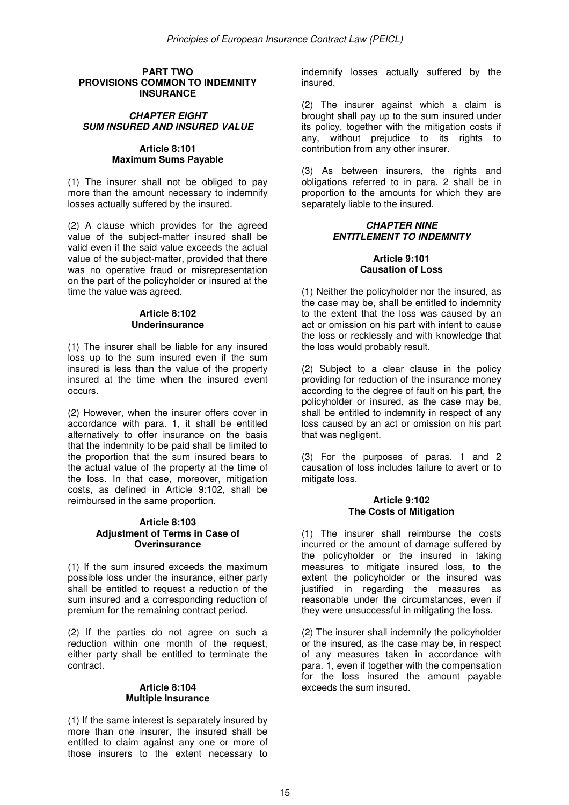#### **PART TWO PROVISIONS COMMON TO INDEMNITY INSURANCE**

## **CHAPTER EIGHT SUM INSURED AND INSURED VALUE**

## **Article 8:101 Maximum Sums Payable**

(1) The insurer shall not be obliged to pay more than the amount necessary to indemnify losses actually suffered by the insured.

(2) A clause which provides for the agreed value of the subject-matter insured shall be valid even if the said value exceeds the actual value of the subject-matter, provided that there was no operative fraud or misrepresentation on the part of the policyholder or insured at the time the value was agreed.

## **Article 8:102 Underinsurance**

(1) The insurer shall be liable for any insured loss up to the sum insured even if the sum insured is less than the value of the property insured at the time when the insured event occurs.

(2) However, when the insurer offers cover in accordance with para. 1, it shall be entitled alternatively to offer insurance on the basis that the indemnity to be paid shall be limited to the proportion that the sum insured bears to the actual value of the property at the time of the loss. In that case, moreover, mitigation costs, as defined in Article 9:102, shall be reimbursed in the same proportion.

#### **Article 8:103 Adjustment of Terms in Case of Overinsurance**

(1) If the sum insured exceeds the maximum possible loss under the insurance, either party shall be entitled to request a reduction of the sum insured and a corresponding reduction of premium for the remaining contract period.

(2) If the parties do not agree on such a reduction within one month of the request, either party shall be entitled to terminate the contract.

## **Article 8:104 Multiple Insurance**

(1) If the same interest is separately insured by more than one insurer, the insured shall be entitled to claim against any one or more of those insurers to the extent necessary to

indemnify losses actually suffered by the insured.

(2) The insurer against which a claim is brought shall pay up to the sum insured under its policy, together with the mitigation costs if any, without prejudice to its rights to contribution from any other insurer.

(3) As between insurers, the rights and obligations referred to in para. 2 shall be in proportion to the amounts for which they are separately liable to the insured.

## **CHAPTER NINE ENTITLEMENT TO INDEMNITY**

## **Article 9:101 Causation of Loss**

(1) Neither the policyholder nor the insured, as the case may be, shall be entitled to indemnity to the extent that the loss was caused by an act or omission on his part with intent to cause the loss or recklessly and with knowledge that the loss would probably result.

(2) Subject to a clear clause in the policy providing for reduction of the insurance money according to the degree of fault on his part, the policyholder or insured, as the case may be, shall be entitled to indemnity in respect of any loss caused by an act or omission on his part that was negligent.

(3) For the purposes of paras. 1 and 2 causation of loss includes failure to avert or to mitigate loss.

#### **Article 9:102 The Costs of Mitigation**

(1) The insurer shall reimburse the costs incurred or the amount of damage suffered by the policyholder or the insured in taking measures to mitigate insured loss, to the extent the policyholder or the insured was justified in regarding the measures as reasonable under the circumstances, even if they were unsuccessful in mitigating the loss.

(2) The insurer shall indemnify the policyholder or the insured, as the case may be, in respect of any measures taken in accordance with para. 1, even if together with the compensation for the loss insured the amount payable exceeds the sum insured.